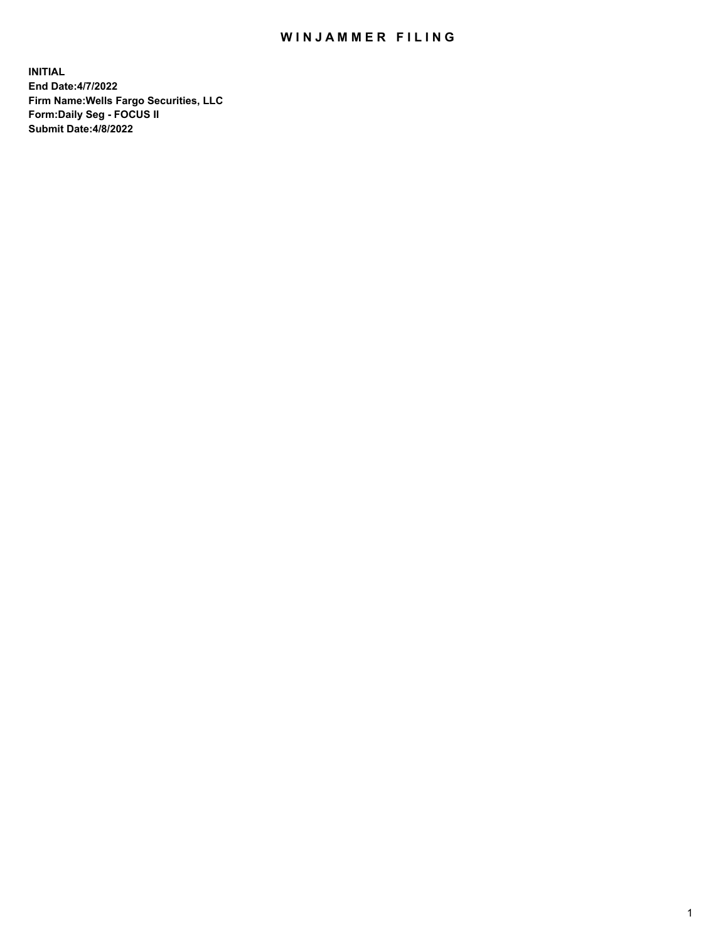## WIN JAMMER FILING

**INITIAL End Date:4/7/2022 Firm Name:Wells Fargo Securities, LLC Form:Daily Seg - FOCUS II Submit Date:4/8/2022**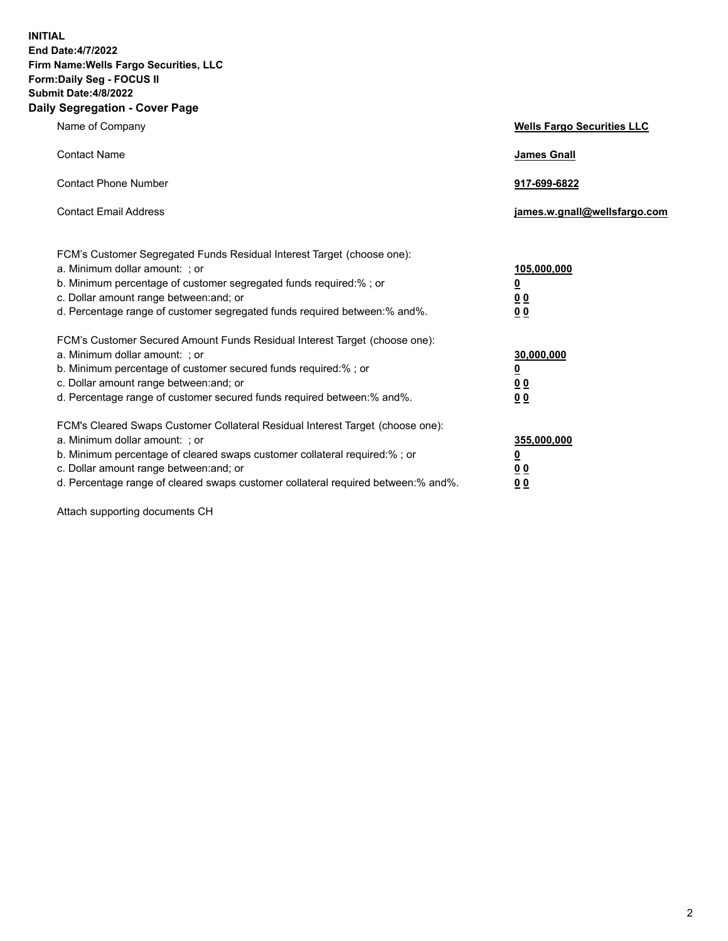**INITIAL End Date:4/7/2022 Firm Name:Wells Fargo Securities, LLC Form:Daily Seg - FOCUS II Submit Date:4/8/2022 Daily Segregation - Cover Page**

| Name of Company                                                                                                  | <b>Wells Fargo Securities LLC</b> |
|------------------------------------------------------------------------------------------------------------------|-----------------------------------|
| <b>Contact Name</b>                                                                                              | <b>James Gnall</b>                |
|                                                                                                                  |                                   |
| <b>Contact Phone Number</b>                                                                                      | 917-699-6822                      |
|                                                                                                                  |                                   |
| <b>Contact Email Address</b>                                                                                     | james.w.gnall@wellsfargo.com      |
|                                                                                                                  |                                   |
| FCM's Customer Segregated Funds Residual Interest Target (choose one):                                           |                                   |
| a. Minimum dollar amount: ; or                                                                                   | 105,000,000                       |
| b. Minimum percentage of customer segregated funds required:% ; or                                               | <u>0</u>                          |
| c. Dollar amount range between: and; or                                                                          | 00                                |
| d. Percentage range of customer segregated funds required between:% and%.                                        | 00                                |
| FCM's Customer Secured Amount Funds Residual Interest Target (choose one):                                       |                                   |
| a. Minimum dollar amount: ; or                                                                                   | 30,000,000                        |
| b. Minimum percentage of customer secured funds required:%; or                                                   | <u>0</u>                          |
| c. Dollar amount range between: and; or                                                                          | 00                                |
| d. Percentage range of customer secured funds required between: % and %.                                         | 0 <sub>0</sub>                    |
|                                                                                                                  |                                   |
| FCM's Cleared Swaps Customer Collateral Residual Interest Target (choose one):<br>a. Minimum dollar amount: ; or | 355,000,000                       |
| b. Minimum percentage of cleared swaps customer collateral required:% ; or                                       | <u>0</u>                          |
| c. Dollar amount range between: and; or                                                                          | <u>00</u>                         |
| d. Percentage range of cleared swaps customer collateral required between:% and%.                                | 00                                |
|                                                                                                                  |                                   |

Attach supporting documents CH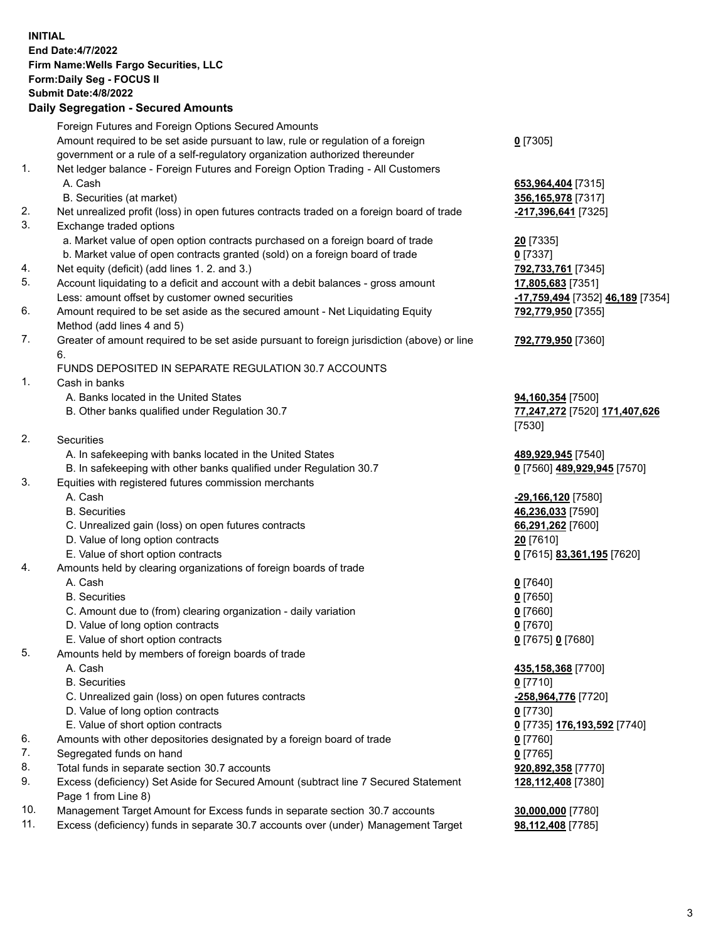**INITIAL End Date:4/7/2022 Firm Name:Wells Fargo Securities, LLC Form:Daily Seg - FOCUS II Submit Date:4/8/2022 Daily Segregation - Secured Amounts**

Foreign Futures and Foreign Options Secured Amounts Amount required to be set aside pursuant to law, rule or regulation of a foreign government or a rule of a self-regulatory organization authorized thereunder **0** [7305] 1. Net ledger balance - Foreign Futures and Foreign Option Trading - All Customers A. Cash **653,964,404** [7315] B. Securities (at market) **356,165,978** [7317] 2. Net unrealized profit (loss) in open futures contracts traded on a foreign board of trade **-217,396,641** [7325] 3. Exchange traded options a. Market value of open option contracts purchased on a foreign board of trade **20** [7335] b. Market value of open contracts granted (sold) on a foreign board of trade **0** [7337] 4. Net equity (deficit) (add lines 1. 2. and 3.) **792,733,761** [7345] 5. Account liquidating to a deficit and account with a debit balances - gross amount **17,805,683** [7351] Less: amount offset by customer owned securities **-17,759,494** [7352] **46,189** [7354] 6. Amount required to be set aside as the secured amount - Net Liquidating Equity Method (add lines 4 and 5) **792,779,950** [7355] 7. Greater of amount required to be set aside pursuant to foreign jurisdiction (above) or line 6. **792,779,950** [7360] FUNDS DEPOSITED IN SEPARATE REGULATION 30.7 ACCOUNTS 1. Cash in banks A. Banks located in the United States **94,160,354** [7500] B. Other banks qualified under Regulation 30.7 **77,247,272** [7520] **171,407,626** [7530] 2. Securities A. In safekeeping with banks located in the United States **489,929,945** [7540] B. In safekeeping with other banks qualified under Regulation 30.7 **0** [7560] **489,929,945** [7570] 3. Equities with registered futures commission merchants A. Cash **-29,166,120** [7580] B. Securities **46,236,033** [7590] C. Unrealized gain (loss) on open futures contracts **66,291,262** [7600] D. Value of long option contracts **20** [7610] E. Value of short option contracts **0** [7615] **83,361,195** [7620] 4. Amounts held by clearing organizations of foreign boards of trade A. Cash **0** [7640] B. Securities **0** [7650] C. Amount due to (from) clearing organization - daily variation **0** [7660] D. Value of long option contracts **0** [7670] E. Value of short option contracts **0** [7675] **0** [7680] 5. Amounts held by members of foreign boards of trade A. Cash **435,158,368** [7700] B. Securities **0** [7710] C. Unrealized gain (loss) on open futures contracts **-258,964,776** [7720] D. Value of long option contracts **0** [7730] E. Value of short option contracts **0** [7735] **176,193,592** [7740] 6. Amounts with other depositories designated by a foreign board of trade **0** [7760] 7. Segregated funds on hand **0** [7765] 8. Total funds in separate section 30.7 accounts **920,892,358** [7770] 9. Excess (deficiency) Set Aside for Secured Amount (subtract line 7 Secured Statement Page 1 from Line 8) **128,112,408** [7380] 10. Management Target Amount for Excess funds in separate section 30.7 accounts **30,000,000** [7780] 11. Excess (deficiency) funds in separate 30.7 accounts over (under) Management Target **98,112,408** [7785]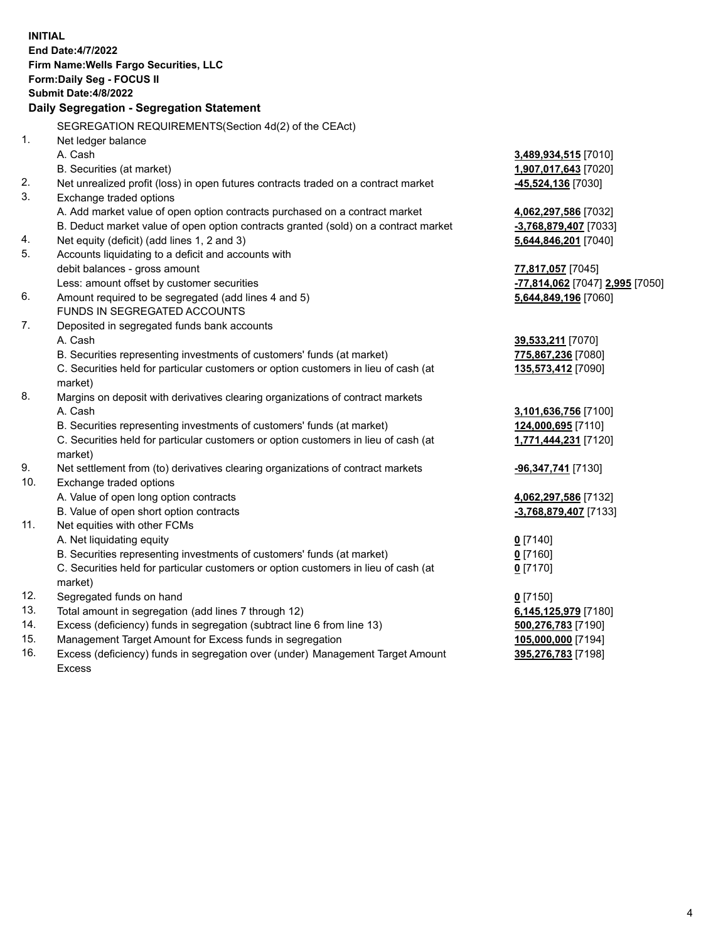|          | <b>INITIAL</b><br>End Date: 4/7/2022<br>Firm Name: Wells Fargo Securities, LLC<br>Form: Daily Seg - FOCUS II<br><b>Submit Date:4/8/2022</b><br>Daily Segregation - Segregation Statement                                                                              |                                                                                           |
|----------|-----------------------------------------------------------------------------------------------------------------------------------------------------------------------------------------------------------------------------------------------------------------------|-------------------------------------------------------------------------------------------|
|          | SEGREGATION REQUIREMENTS(Section 4d(2) of the CEAct)                                                                                                                                                                                                                  |                                                                                           |
| 1.       | Net ledger balance<br>A. Cash<br>B. Securities (at market)                                                                                                                                                                                                            | 3,489,934,515 [7010]<br>1,907,017,643 [7020]                                              |
| 2.<br>3. | Net unrealized profit (loss) in open futures contracts traded on a contract market                                                                                                                                                                                    | -45,524,136 [7030]                                                                        |
| 4.       | Exchange traded options<br>A. Add market value of open option contracts purchased on a contract market<br>B. Deduct market value of open option contracts granted (sold) on a contract market<br>Net equity (deficit) (add lines 1, 2 and 3)                          | 4,062,297,586 [7032]<br>-3,768,879,407 [7033]<br>5,644,846,201 [7040]                     |
| 5.<br>6. | Accounts liquidating to a deficit and accounts with<br>debit balances - gross amount<br>Less: amount offset by customer securities<br>Amount required to be segregated (add lines 4 and 5)                                                                            | 77,817,057 [7045]<br><mark>-77,814,062</mark> [7047] 2,995 [7050]<br>5,644,849,196 [7060] |
|          | FUNDS IN SEGREGATED ACCOUNTS                                                                                                                                                                                                                                          |                                                                                           |
| 7.       | Deposited in segregated funds bank accounts<br>A. Cash<br>B. Securities representing investments of customers' funds (at market)<br>C. Securities held for particular customers or option customers in lieu of cash (at<br>market)                                    | 39,533,211 [7070]<br>775,867,236 [7080]<br>135,573,412 [7090]                             |
| 8.       | Margins on deposit with derivatives clearing organizations of contract markets<br>A. Cash<br>B. Securities representing investments of customers' funds (at market)<br>C. Securities held for particular customers or option customers in lieu of cash (at<br>market) | 3,101,636,756 [7100]<br>124,000,695 [7110]<br>1,771,444,231 [7120]                        |
| 9.       | Net settlement from (to) derivatives clearing organizations of contract markets                                                                                                                                                                                       | -96,347,741 [7130]                                                                        |
| 10.      | Exchange traded options<br>A. Value of open long option contracts<br>B. Value of open short option contracts                                                                                                                                                          | 4,062,297,586 [7132]<br>-3,768,879,407 [7133]                                             |
| 11.      | Net equities with other FCMs<br>A. Net liquidating equity<br>B. Securities representing investments of customers' funds (at market)<br>C. Securities held for particular customers or option customers in lieu of cash (at<br>market)                                 | $0$ [7140]<br>$0$ [7160]<br>$0$ [7170]                                                    |
| 12.      | Segregated funds on hand                                                                                                                                                                                                                                              | $0$ [7150]                                                                                |
| 13.      | Total amount in segregation (add lines 7 through 12)                                                                                                                                                                                                                  | 6,145,125,979 [7180]                                                                      |
| 14.      | Excess (deficiency) funds in segregation (subtract line 6 from line 13)                                                                                                                                                                                               | 500,276,783 [7190]                                                                        |
| 15.      | Management Target Amount for Excess funds in segregation                                                                                                                                                                                                              | 105,000,000 [7194]                                                                        |
| 16.      | Excess (deficiency) funds in segregation over (under) Management Target Amount<br>Excess                                                                                                                                                                              | 395,276,783 [7198]                                                                        |